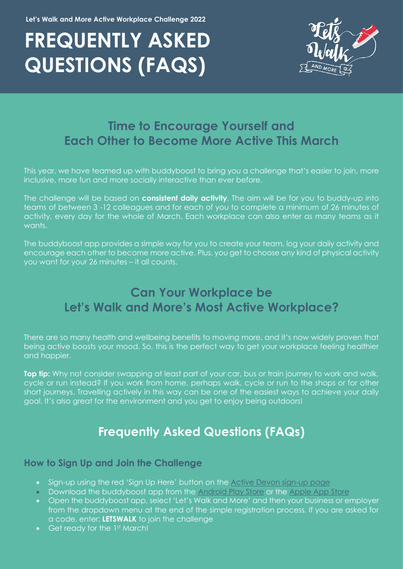# **FREQUENTLY ASKED QUESTIONS (FAQS)**



# **Time to Encourage Yourself and Each Other to Become More Active This March**

This year, we have teamed up with buddyboost to bring you a challenge that's easier to join, more inclusive, more fun and more socially interactive than ever before.

The challenge will be based on **consistent daily activity**. The aim will be for you to buddy-up into teams of between 3 -12 colleagues and for each of you to complete a minimum of 26 minutes of activity, every day for the whole of March. Each workplace can also enter as many teams as it wants.

The buddyboost app provides a simple way for you to create your team, log your daily activity and encourage each other to become more active. Plus, you get to choose any kind of physical activity you want for your 26 minutes – it all counts.

# **Can Your Workplace be Let's Walk and More's Most Active Workplace?**

There are so many health and wellbeing benefits to moving more, and it's now widely proven that being active boosts your mood. So, this is the perfect way to get your workplace feeling healthier and happier.

**Top tip:** Why not consider swapping at least part of your car, bus or train journey to work and walk, cycle or run instead? If you work from home, perhaps walk, cycle or run to the shops or for other short journeys. Travelling actively in this way can be one of the easiest ways to achieve your daily goal. It's also great for the environment and you get to enjoy being outdoors!

# **Frequently Asked Questions (FAQs)**

#### **How to Sign Up and Join the Challenge**

- Sign-up using the red 'Sign Up Here' button on the [Active Devon sign-up page](https://www.activedevon.org/lets-walk-and-more-with-devons-biggest-active-workplace-challenge/)
- Download the buddyboost app from the [Android Play Store](https://play.google.com/store/apps/details?id=com.mayathon&hl=en_GB&gl=US) or the [Apple App Store](https://apps.apple.com/gb/app/buddyboost/id1494456993)
- Open the buddyboost app, select 'Let's Walk and More' and then your business or employer from the dropdown menu at the end of the simple registration process. If you are asked for a code, enter: **LETSWALK** to join the challenge
- Get ready for the 1st March!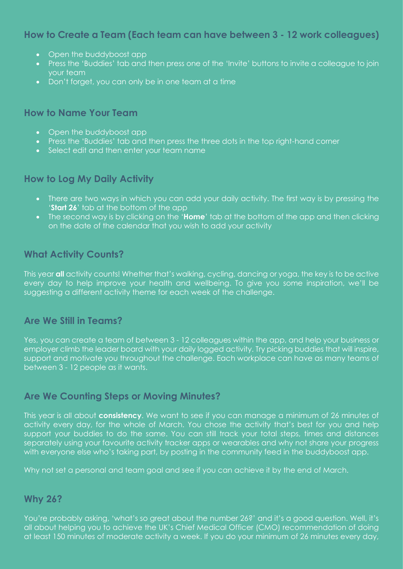# **How to Create a Team (Each team can have between 3 - 12 work colleagues)**

- Open the buddyboost app
- Press the 'Buddies' tab and then press one of the 'Invite' buttons to invite a colleague to join your team
- Don't forget, you can only be in one team at a time

# **How to Name Your Team**

- Open the buddyboost app
- Press the 'Buddies' tab and then press the three dots in the top right-hand corner
- Select edit and then enter your team name

# **How to Log My Daily Activity**

- There are two ways in which you can add your daily activity. The first way is by pressing the '**Start 26**' tab at the bottom of the app
- The second way is by clicking on the '**Home**' tab at the bottom of the app and then clicking on the date of the calendar that you wish to add your activity

# **What Activity Counts?**

This year **all** activity counts! Whether that's walking, cycling, dancing or yoga, the key is to be active every day to help improve your health and wellbeing. To give you some inspiration, we'll be suggesting a different activity theme for each week of the challenge.

# **Are We Still in Teams?**

Yes, you can create a team of between 3 - 12 colleagues within the app, and help your business or employer climb the leader board with your daily logged activity. Try picking buddies that will inspire, support and motivate you throughout the challenge. Each workplace can have as many teams of between 3 - 12 people as it wants.

# **Are We Counting Steps or Moving Minutes?**

This year is all about **consistency**. We want to see if you can manage a minimum of 26 minutes of activity every day, for the whole of March. You chose the activity that's best for you and help support your buddies to do the same. You can still track your total steps, times and distances separately using your favourite activity tracker apps or wearables and why not share your progress with everyone else who's taking part, by posting in the community feed in the buddyboost app.

Why not set a personal and team goal and see if you can achieve it by the end of March.

#### **Why 26?**

You're probably asking, 'what's so great about the number 26?' and it's a good question. Well, it's all about helping you to achieve the UK's Chief Medical Officer (CMO) recommendation of doing at least 150 minutes of moderate activity a week. If you do your minimum of 26 minutes every day,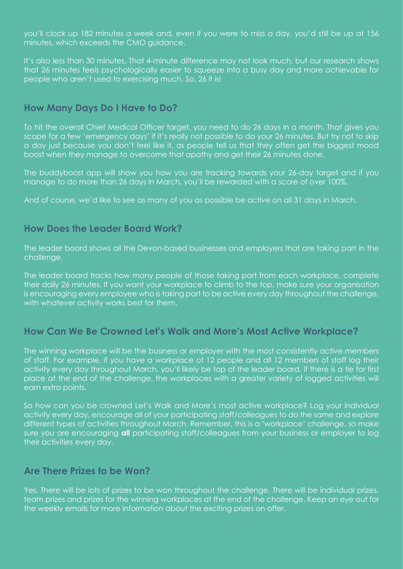you'll clock up 182 minutes a week and, even if you were to miss a day, you'd still be up at 156 minutes, which exceeds the CMO guidance.

It's also less than 30 minutes. That 4-minute difference may not look much, but our research shows that 26 minutes feels psychologically easier to squeeze into a busy day and more achievable for people who aren't used to exercising much. So, 26 it is!

#### **How Many Days Do I Have to Do?**

To hit the overall Chief Medical Officer target, you need to do 26 days in a month. That gives you scope for a few 'emergency days' if it's really not possible to do your 26 minutes. But try not to skip a day just because you don't feel like it, as people tell us that they often get the biggest mood boost when they manage to overcome that apathy and get their 26 minutes done.

The buddyboost app will show you how you are tracking towards your 26-day target and if you manage to do more than 26 days in March, you'll be rewarded with a score of over 100%.

And of course, we'd like to see as many of you as possible be active on all 31 days in March.

#### **How Does the Leader Board Work?**

The leader board shows all the Devon-based businesses and employers that are taking part in the challenge.

The leader board tracks how many people of those taking part from each workplace, complete their daily 26 minutes. If you want your workplace to climb to the top, make sure your organisation is encouraging every employee who is taking part to be active every day throughout the challenge, with whatever activity works best for them.

# **How Can We Be Crowned Let's Walk and More's Most Active Workplace?**

The winning workplace will be the business or employer with the most consistently active members of staff. For example, if you have a workplace of 12 people and all 12 members of staff log their activity every day throughout March, you'll likely be top of the leader board. If there is a tie for first place at the end of the challenge, the workplaces with a greater variety of logged activities will earn extra points.

So how can you be crowned Let's Walk and More's most active workplace? Log your individual activity every day, encourage all of your participating staff/colleagues to do the same and explore different types of activities throughout March. Remember, this is a 'workplace' challenge, so make sure you are encouraging **all** participating staff/colleagues from your business or employer to log their activities every day.

# **Are There Prizes to be Won?**

Yes. There will be lots of prizes to be won throughout the challenge. There will be individual prizes, team prizes and prizes for the winning workplaces at the end of the challenge. Keep an eye out for the weekly emails for more information about the exciting prizes on offer.